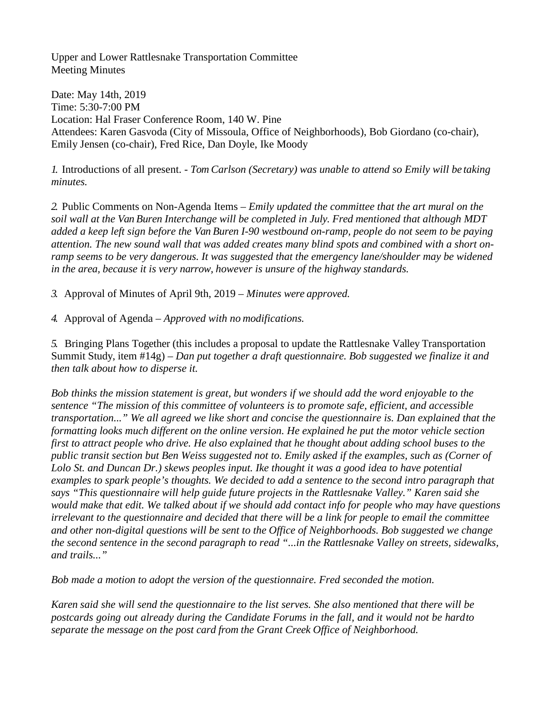Upper and Lower Rattlesnake Transportation Committee Meeting Minutes

Date: May 14th, 2019 Time: 5:30-7:00 PM Location: Hal Fraser Conference Room, 140 W. Pine Attendees: Karen Gasvoda (City of Missoula, Office of Neighborhoods), Bob Giordano (co-chair), Emily Jensen (co-chair), Fred Rice, Dan Doyle, Ike Moody

*1.* Introductions of all present. - *Tom Carlson (Secretary) was unable to attend so Emily will be taking minutes.*

*2.* Public Comments on Non-Agenda Items – *Emily updated the committee that the art mural on the soil wall at the Van Buren Interchange will be completed in July. Fred mentioned that although MDT added a keep left sign before the Van Buren I-90 westbound on-ramp, people do not seem to be paying attention. The new sound wall that was added creates many blind spots and combined with a short on*ramp seems to be very dangerous. It was suggested that the emergency lane/shoulder may be widened *in the area, because it is very narrow, however is unsure of the highway standards.*

*3.* Approval of Minutes of April 9th, 2019 – *Minutes were approved.*

*4.* Approval of Agenda – *Approved with no modifications.*

*5.* Bringing Plans Together (this includes a proposal to update the Rattlesnake Valley Transportation Summit Study, item #14g) – *Dan put together a draft questionnaire. Bob suggested we finalize it and then talk about how to disperse it.*

*Bob thinks the mission statement is great, but wonders if we should add the word enjoyable to the sentence "The mission of this committee of volunteers is to promote safe, efficient, and accessible transportation..." We all agreed we like short and concise the questionnaire is. Dan explained that the formatting looks much different on the online version. He explained he put the motor vehicle section first to attract people who drive. He also explained that he thought about adding school buses to the public transit section but Ben Weiss suggested not to. Emily asked if the examples, such as (Corner of Lolo St. and Duncan Dr.) skews peoples input. Ike thought it was a good idea to have potential examples to spark people's thoughts. We decided to add a sentence to the second intro paragraph that says "This questionnaire will help guide future projects in the Rattlesnake Valley." Karen said she would make that edit. We talked about if we should add contact info for people who may have questions irrelevant to the questionnaire and decided that there will be a link for people to email the committee and other non-digital questions will be sent to the Office of Neighborhoods. Bob suggested we change the second sentence in the second paragraph to read "...in the Rattlesnake Valley on streets, sidewalks, and trails..."*

*Bob made a motion to adopt the version of the questionnaire. Fred seconded the motion.*

*Karen said she will send the questionnaire to the list serves. She also mentioned that there will be postcards going out already during the Candidate Forums in the fall, and it would not be hardto separate the message on the post card from the Grant Creek Office of Neighborhood.*